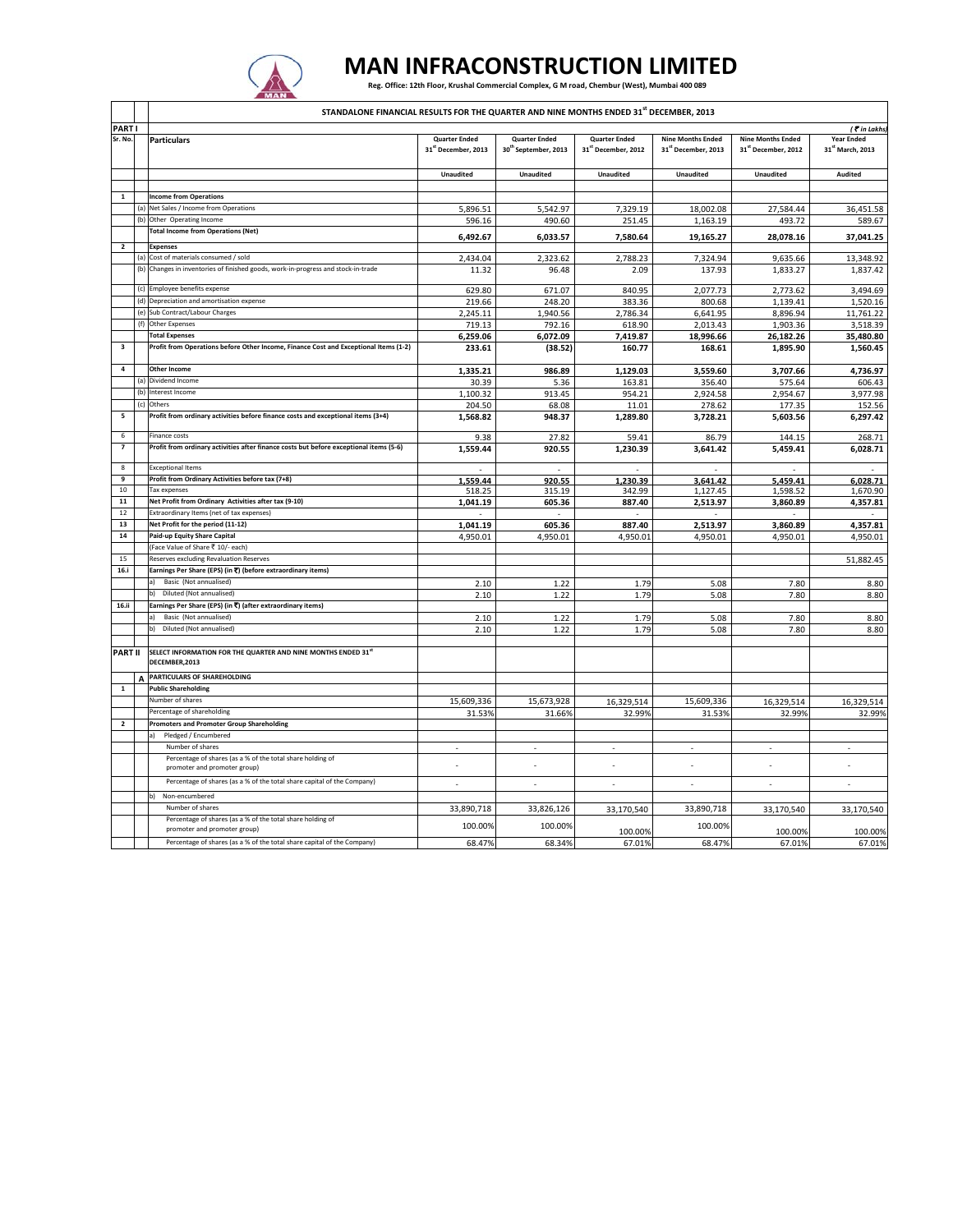

## **MAN INFRACONSTRUCTION LIMITED**

Reg. Office: 12th Floor, Krushal Commercial Complex, G M road, Chembur (West), Mumbai 400 089

|                         |          | <b>IMAN</b>                                                                                                                |                                                         |                                                          |                                             |                                                 |                                                 |                                       |
|-------------------------|----------|----------------------------------------------------------------------------------------------------------------------------|---------------------------------------------------------|----------------------------------------------------------|---------------------------------------------|-------------------------------------------------|-------------------------------------------------|---------------------------------------|
|                         |          | STANDALONE FINANCIAL RESULTS FOR THE QUARTER AND NINE MONTHS ENDED 31 <sup>st</sup> DECEMBER, 2013                         |                                                         |                                                          |                                             |                                                 |                                                 |                                       |
| <b>PARTI</b>            |          |                                                                                                                            |                                                         |                                                          |                                             |                                                 |                                                 | (₹in Lakhs                            |
| Sr. No.                 |          | <b>Particulars</b>                                                                                                         | <b>Ouarter Ended</b><br>31 <sup>st</sup> December, 2013 | <b>Quarter Ended</b><br>30 <sup>th</sup> September, 2013 | <b>Quarter Ended</b><br>31st December, 2012 | <b>Nine Months Ended</b><br>31st December, 2013 | <b>Nine Months Ended</b><br>31st December, 2012 | <b>Year Ended</b><br>31st March, 2013 |
|                         |          |                                                                                                                            | Unaudited                                               | Unaudited                                                | Unaudited                                   | <b>Unaudited</b>                                | <b>Unaudited</b>                                | Audited                               |
|                         |          |                                                                                                                            |                                                         |                                                          |                                             |                                                 |                                                 |                                       |
| 1                       |          | <b>Income from Operations</b>                                                                                              |                                                         |                                                          |                                             |                                                 |                                                 |                                       |
|                         | (a)      | Net Sales / Income from Operations                                                                                         | 5,896.51                                                | 5,542.97                                                 | 7,329.19                                    | 18,002.08                                       | 27,584.44                                       | 36,451.58                             |
|                         | (b)      | Other Operating Income                                                                                                     | 596.16                                                  | 490.60                                                   | 251.45                                      | 1,163.19                                        | 493.72                                          | 589.67                                |
|                         |          | <b>Total Income from Operations (Net)</b>                                                                                  | 6,492.67                                                | 6,033.57                                                 | 7,580.64                                    | 19,165.27                                       | 28,078.16                                       | 37,041.25                             |
| $\overline{2}$          |          | <b>Expenses</b>                                                                                                            |                                                         |                                                          |                                             |                                                 |                                                 |                                       |
|                         |          | (a) Cost of materials consumed / sold<br>(b) Changes in inventories of finished goods, work-in-progress and stock-in-trade | 2,434.04                                                | 2,323.62                                                 | 2,788.23                                    | 7,324.94                                        | 9,635.66                                        | 13,348.92                             |
|                         |          |                                                                                                                            | 11.32                                                   | 96.48                                                    | 2.09                                        | 137.93                                          | 1,833.27                                        | 1,837.42                              |
|                         | (c)      | Employee benefits expense                                                                                                  | 629.80                                                  | 671.07                                                   | 840.95                                      | 2,077.73                                        | 2,773.62                                        | 3,494.69                              |
|                         |          | (d) Depreciation and amortisation expense                                                                                  | 219.66                                                  | 248.20                                                   | 383.36                                      | 800.68                                          | 1,139.41                                        | 1,520.16                              |
|                         |          | (e) Sub Contract/Labour Charges                                                                                            | 2,245.11                                                | 1,940.56                                                 | 2,786.34                                    | 6,641.95                                        | 8,896.94                                        | 11,761.22                             |
|                         | (f)      | Other Expenses                                                                                                             | 719.13                                                  | 792.16                                                   | 618.90                                      | 2,013.43                                        | 1,903.36                                        | 3,518.39                              |
|                         |          | otal Expenses                                                                                                              | 6,259.06                                                | 6,072.09                                                 | 7,419.87                                    | 18,996.66                                       | 26,182.26                                       | 35,480.80                             |
| $\overline{\mathbf{3}}$ |          | Profit from Operations before Other Income, Finance Cost and Exceptional Items (1-2)                                       | 233.61                                                  | (38.52)                                                  | 160.77                                      | 168.61                                          | 1,895.90                                        | 1,560.45                              |
| $\overline{4}$          |          | <b>Other Income</b>                                                                                                        | 1,335.21                                                | 986.89                                                   | 1,129.03                                    | 3,559.60                                        | 3,707.66                                        | 4,736.97                              |
|                         | (a)      | Dividend Income                                                                                                            | 30.39                                                   | 5.36                                                     | 163.81                                      | 356.40                                          | 575.64                                          | 606.43                                |
|                         |          | (b) Interest Income                                                                                                        | 1,100.32                                                | 913.45                                                   | 954.21                                      | 2,924.58                                        | 2,954.67                                        | 3,977.98                              |
|                         | (c)      | Others                                                                                                                     | 204.50                                                  | 68.08                                                    | 11.01                                       | 278.62                                          | 177.35                                          | 152.56                                |
| 5                       |          | Profit from ordinary activities before finance costs and exceptional items (3+4)                                           | 1,568.82                                                | 948.37                                                   | 1,289.80                                    | 3,728.21                                        | 5,603.56                                        | 6,297.42                              |
| 6                       |          | inance costs                                                                                                               | 9.38                                                    | 27.82                                                    | 59.41                                       | 86.79                                           | 144.15                                          | 268.71                                |
| $\overline{7}$          |          | Profit from ordinary activities after finance costs but before exceptional items (5-6)                                     | 1,559.44                                                | 920.55                                                   | 1,230.39                                    | 3,641.42                                        | 5,459.41                                        | 6,028.71                              |
| 8                       |          | <b>Exceptional Items</b>                                                                                                   |                                                         | ä,                                                       |                                             |                                                 |                                                 |                                       |
| 9                       |          | Profit from Ordinary Activities before tax (7+8)                                                                           | 1,559.44                                                | 920.55                                                   | 1,230.39                                    | 3,641.42                                        | 5,459.41                                        | 6,028.71                              |
| 10                      |          | Tax expenses                                                                                                               | 518.25                                                  | 315.19                                                   | 342.99                                      | 1,127.45                                        | 1,598.52                                        | 1,670.90                              |
| 11                      |          | Net Profit from Ordinary Activities after tax (9-10)                                                                       | 1,041.19                                                | 605.36                                                   | 887.40                                      | 2,513.97                                        | 3,860.89                                        | 4,357.81                              |
| 12                      |          | Extraordinary Items (net of tax expenses)                                                                                  |                                                         | $\sim$                                                   | ÷.                                          |                                                 | $\sim$                                          |                                       |
| 13                      |          | Net Profit for the period (11-12)                                                                                          | 1,041.19                                                | 605.36                                                   | 887.40                                      | 2,513.97                                        | 3,860.89                                        | 4,357.81                              |
| 14                      |          | Paid-up Equity Share Capital                                                                                               | 4,950.01                                                | 4,950.01                                                 | 4,950.01                                    | 4,950.01                                        | 4,950.01                                        | 4,950.01                              |
|                         |          | Face Value of Share ₹ 10/- each)                                                                                           |                                                         |                                                          |                                             |                                                 |                                                 |                                       |
| 15                      |          | Reserves excluding Revaluation Reserves                                                                                    |                                                         |                                                          |                                             |                                                 |                                                 | 51,882.45                             |
| 16.i                    |          | Earnings Per Share (EPS) (in ₹) (before extraordinary items)                                                               |                                                         |                                                          |                                             |                                                 |                                                 |                                       |
|                         |          | Basic (Not annualised)                                                                                                     | 2.10                                                    | 1.22                                                     | 1.79                                        | 5.08                                            | 7.80                                            | 8.80                                  |
|                         |          | Diluted (Not annualised)<br>b)                                                                                             | 2.10                                                    | 1.22                                                     | 1.79                                        | 5.08                                            | 7.80                                            | 8.80                                  |
| 16.ii                   |          | Earnings Per Share (EPS) (in ₹) (after extraordinary items)                                                                |                                                         |                                                          |                                             |                                                 |                                                 |                                       |
|                         |          | Basic (Not annualised)                                                                                                     | 2.10                                                    | 1.22                                                     | 1.79                                        | 5.08                                            | 7.80                                            | 8.80                                  |
|                         |          | Diluted (Not annualised)<br>b)                                                                                             | 2.10                                                    | 1.22                                                     | 1.79                                        | 5.08                                            | 7.80                                            | 8.80                                  |
|                         |          |                                                                                                                            |                                                         |                                                          |                                             |                                                 |                                                 |                                       |
| <b>PART II</b>          |          | SELECT INFORMATION FOR THE QUARTER AND NINE MONTHS ENDED 31st<br>DECEMBER, 2013                                            |                                                         |                                                          |                                             |                                                 |                                                 |                                       |
|                         | $\Delta$ | PARTICULARS OF SHAREHOLDING                                                                                                |                                                         |                                                          |                                             |                                                 |                                                 |                                       |
| $\mathbf{1}$            |          | <b>Public Shareholding</b>                                                                                                 |                                                         |                                                          |                                             |                                                 |                                                 |                                       |
|                         |          | <b>Number of shares</b>                                                                                                    | 15,609,336                                              | 15,673,928                                               | 16,329,514                                  | 15,609,336                                      | 16,329,514                                      | 16,329,514                            |
|                         |          | Percentage of shareholding                                                                                                 | 31.53%                                                  | 31.66%                                                   | 32.99%                                      | 31.53%                                          | 32.99%                                          | 32.99%                                |
| $\overline{2}$          |          | <b>Promoters and Promoter Group Shareholding</b>                                                                           |                                                         |                                                          |                                             |                                                 |                                                 |                                       |
|                         |          | Pledged / Encumbered                                                                                                       |                                                         |                                                          |                                             |                                                 |                                                 |                                       |
|                         |          | Number of shares                                                                                                           |                                                         |                                                          | ÷,                                          | ä,                                              | ä,                                              |                                       |
|                         |          | Percentage of shares (as a % of the total share holding of                                                                 |                                                         |                                                          |                                             |                                                 |                                                 |                                       |
|                         |          | promoter and promoter group)                                                                                               | ×,                                                      |                                                          |                                             |                                                 | J.                                              |                                       |
|                         |          | Percentage of shares (as a % of the total share capital of the Company)                                                    | ×                                                       | $\sim$                                                   | ÷                                           | ÷.                                              | ÷                                               | ×.                                    |
|                         |          | Non-encumbered                                                                                                             |                                                         |                                                          |                                             |                                                 |                                                 |                                       |
|                         |          | Number of shares                                                                                                           | 33,890,718                                              | 33,826,126                                               | 33,170,540                                  | 33,890,718                                      | 33,170,540                                      | 33,170,540                            |
|                         |          | Percentage of shares (as a % of the total share holding of                                                                 | 100.00%                                                 | 100.00%                                                  |                                             | 100.00%                                         |                                                 |                                       |
|                         |          | promoter and promoter group)                                                                                               |                                                         |                                                          | 100.00%                                     |                                                 | 100.00%                                         | 100.00%                               |
|                         |          | Percentage of shares (as a % of the total share capital of the Company)                                                    | 68.47%                                                  | 68.34%                                                   | 67.01%                                      | 68.47%                                          | 67.01%                                          | 67.01%                                |